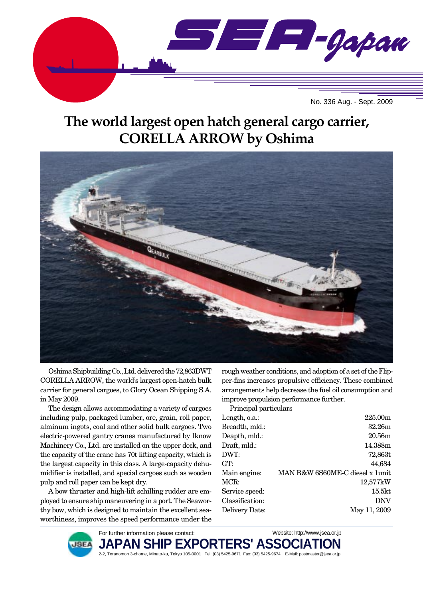

# **The world largest open hatch general cargo carrier, CORELLA ARROW by Oshima**



Oshima Shipbuilding Co., Ltd. delivered the 72,863DWT CORELLA ARROW, the world's largest open-hatch bulk carrier for general cargoes, to Glory Ocean Shipping S.A. in May 2009.

The design allows accommodating a variety of cargoes including pulp, packaged lumber, ore, grain, roll paper, alminum ingots, coal and other solid bulk cargoes. Two electric-powered gantry cranes manufactured by Iknow Machinery Co., Ltd. are installed on the upper deck, and the capacity of the crane has 70t lifting capacity, which is the largest capacity in this class. A large-capacity dehumidifier is installed, and special cargoes such as wooden pulp and roll paper can be kept dry.

A bow thruster and high-lift schilling rudder are employed to ensure ship maneuvering in a port. The Seaworthy bow, which is designed to maintain the excellent seaworthiness, improves the speed performance under the rough weather conditions, and adoption of a set of the Flipper-fins increases propulsive efficiency. These combined arrangements help decrease the fuel oil consumption and improve propulsion performance further.

Principal particulars

| Length, o.a.:   | 225.00m                         |
|-----------------|---------------------------------|
| Breadth, mld.:  | 32.26m                          |
| Deapth, mld.:   | 20.56m                          |
| Draft, mld.:    | 14.388m                         |
| DWT:            | 72,863t                         |
| GT:             | 44,684                          |
| Main engine:    | MAN B&W 6S60ME-C diesel x 1unit |
| MCR:            | 12,577kW                        |
| Service speed:  | 15.5kt                          |
| Classification: | <b>DNV</b>                      |
| Delivery Date:  | May 11, 2009                    |
|                 |                                 |

Website: http://www.jsea.or.jp



**JAPAN SHIP EXPORTERS' ASSO** 2-2, Toranomon 3-chome, Minato-ku, Tokyo 105-0001 Tel: (03) 5425-9671 Fax: (03) 5425-9674 E-Mail: postmaster@jsea.or.jp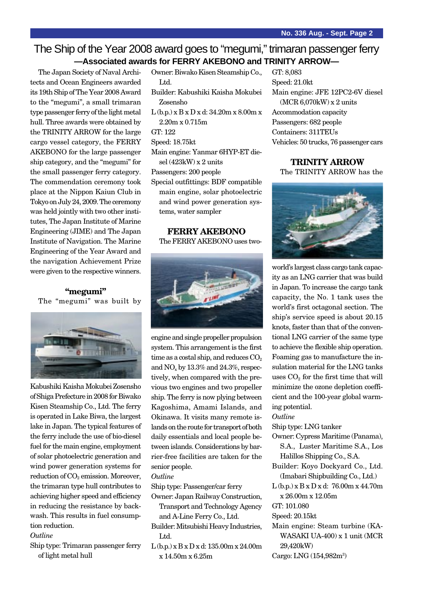### The Ship of the Year 2008 award goes to "megumi," trimaran passenger ferry **—Associated awards for FERRY AKEBONO and TRINITY ARROW—**

The Japan Society of Naval Architects and Ocean Engineers awarded its 19th Ship of The Year 2008 Award to the "megumi", a small trimaran type passenger ferry of the light metal hull. Three awards were obtained by the TRINITY ARROW for the large cargo vessel category, the FERRY AKEBONO for the large passenger ship category, and the "megumi" for the small passenger ferry category. The commendation ceremony took place at the Nippon Kaiun Club in Tokyo on July 24, 2009. The ceremony was held jointly with two other institutes, The Japan Institute of Marine Engineering (JIME) and The Japan Institute of Navigation. The Marine Engineering of the Year Award and the navigation Achievement Prize were given to the respective winners.

#### **"megumi"** The "megumi" was built by



Kabushiki Kaisha Mokubei Zosensho of Shiga Prefecture in 2008 for Biwako Kisen Steamship Co., Ltd. The ferry is operated in Lake Biwa, the largest lake in Japan. The typical features of the ferry include the use of bio-diesel fuel for the main engine, employment of solar photoelectric generation and wind power generation systems for reduction of  $CO<sub>2</sub>$  emission. Moreover, the trimaran type hull contributes to achieving higher speed and efficiency in reducing the resistance by backwash. This results in fuel consumption reduction.

#### *Outline*

Ship type: Trimaran passenger ferry of light metal hull

- Owner: Biwako Kisen Steamship Co., Ltd. Builder: Kabushiki Kaisha Mokubei Zosensho L (b.p.) x B x D x d: 34.20m x 8.00m x 2.20m x 0.715m GT: 122 Speed: 18.75kt Main engine: Yanmar 6HYP-ET diesel (423kW) x 2 units Passengers: 200 people Special outfittings: BDF compatible main engine, solar photoelectric
- and wind power generation systems, water sampler

#### **FERRY AKEBONO**

The FERRY AKEBONO uses two-



engine and single propeller propulsion system. This arrangement is the first time as a costal ship, and reduces  $CO<sub>2</sub>$ and  $NO<sub>x</sub>$  by 13.3% and 24.3%, respectively, when compared with the previous two engines and two propeller ship. The ferry is now plying between Kagoshima, Amami Islands, and Okinawa. It visits many remote islands on the route for transport of both daily essentials and local people between islands. Considerations by barrier-free facilities are taken for the senior people.

#### *Outline*

Ship type: Passenger/car ferry

Owner: Japan Railway Construction, Transport and Technology Agency and A-Line Ferry Co., Ltd.

Builder: Mitsubishi Heavy Industries, Ltd.

L (b.p.) x B x D x d: 135.00m x 24.00m x 14.50m x 6.25m

GT: 8,083 Speed: 21.0kt Main engine: JFE 12PC2-6V diesel (MCR 6,070kW) x 2 units Accommodation capacity Passengers: 682 people Containers: 311TEUs Vehicles: 50 trucks, 76 passenger cars

#### **TRINITY ARROW**

The TRINITY ARROW has the



world's largest class cargo tank capacity as an LNG carrier that was build in Japan. To increase the cargo tank capacity, the No. 1 tank uses the world's first octagonal section. The ship's service speed is about 20.15 knots, faster than that of the conventional LNG carrier of the same type to achieve the flexible ship operation. Foaming gas to manufacture the insulation material for the LNG tanks uses  $CO<sub>2</sub>$  for the first time that will minimize the ozone depletion coefficient and the 100-year global warming potential.

*Outline*

Ship type: LNG tanker

- Owner: Cypress Maritime (Panama), S.A., Luster Maritime S.A., Los Halillos Shipping Co., S.A.
- Builder: Koyo Dockyard Co., Ltd. (Imabari Shipbuilding Co., Ltd.)
- L (b.p.) x B x D x d: 76.00m x 44.70m x 26.00m x 12.05m
- GT: 101.080
- Speed: 20.15kt
- Main engine: Steam turbine (KA-WASAKI UA-400) x 1 unit (MCR 29,420kW)
- Cargo: LNG (154,982m<sup>3</sup>)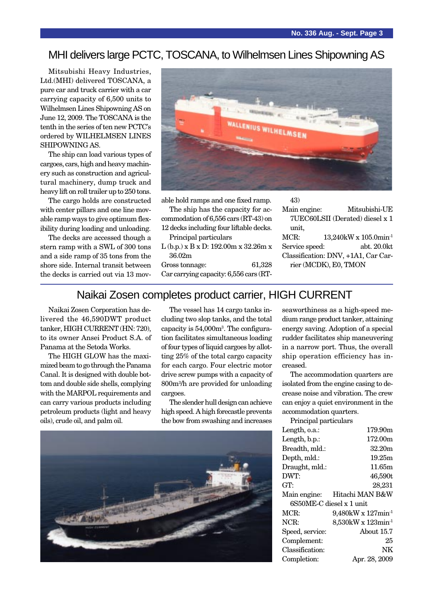### MHI delivers large PCTC, TOSCANA, to Wilhelmsen Lines Shipowning AS

Mitsubishi Heavy Industries, Ltd.(MHI) delivered TOSCANA, a pure car and truck carrier with a car carrying capacity of 6,500 units to Wilhelmsen Lines Shipowning AS on June 12, 2009. The TOSCANA is the tenth in the series of ten new PCTC's ordered by WILHELMSEN LINES SHIPOWNING AS.

The ship can load various types of cargoes, cars, high and heavy machinery such as construction and agricultural machinery, dump truck and heavy lift on roll trailer up to 250 tons.

The cargo holds are constructed with center pillars and one line movable ramp ways to give optimum flexibility during loading and unloading.

The decks are accessed though a stern ramp with a SWL of 300 tons and a side ramp of 35 tons from the shore side. Internal transit between the decks is carried out via 13 mov-



able hold ramps and one fixed ramp.

The ship has the capacity for accommodation of 6,556 cars (RT-43) on 12 decks including four liftable decks.

Principal particulars

L (b.p.) x B x D: 192.00m x 32.26m x 36.02m

Gross tonnage: 61,328 Car carrying capacity: 6,556 cars (RT-

43)

Main engine: Mitsubishi-UE 7UEC60LSII (Derated) diesel x 1 unit,

MCR: 13,240kW x 105.0min<sup>-1</sup> Service speed: abt. 20.0kt Classification: DNV, +1A1, Car Carrier (MCDK), E0, TMON

### Naikai Zosen completes product carrier, HIGH CURRENT

Naikai Zosen Corporation has delivered the 46,590DWT product tanker, HIGH CURRENT (HN: 720), to its owner Ansei Product S.A. of Panama at the Setoda Works.

The HIGH GLOW has the maximized beam to go through the Panama Canal. It is designed with double bottom and double side shells, complying with the MARPOL requirements and can carry various products including petroleum products (light and heavy oils), crude oil, and palm oil.

The vessel has 14 cargo tanks including two slop tanks, and the total capacity is 54,000m3 . The configuration facilitates simultaneous loading of four types of liquid cargoes by allotting 25% of the total cargo capacity for each cargo. Four electric motor drive screw pumps with a capacity of 800m3 /h are provided for unloading cargoes.

The slender hull design can achieve high speed. A high forecastle prevents the bow from swashing and increases



seaworthiness as a high-speed medium range product tanker, attaining energy saving. Adoption of a special rudder facilitates ship maneuvering in a narrow port. Thus, the overall ship operation efficiency has increased.

The accommodation quarters are isolated from the engine casing to decrease noise and vibration. The crew can enjoy a quiet environment in the accommodation quarters.

Principal particulars

| Length, o.a.:            | 179.90m                        |  |
|--------------------------|--------------------------------|--|
| Length, b.p.:            | 172.00m                        |  |
| Breadth, mld.:           | 32.20m                         |  |
| Depth, mld.:             | 19.25m                         |  |
| Draught, mld.:           | 11.65m                         |  |
| DWT:                     | 46,590t                        |  |
| GT:                      | 28,231                         |  |
| Main engine:             | Hitachi MAN B&W                |  |
| 6S50ME-C diesel x 1 unit |                                |  |
| MCR:                     | 9,480kW x 127min <sup>-1</sup> |  |
| NCR:                     | 8,530kW x 123min <sup>-1</sup> |  |
| Speed, service:          | About 15.7                     |  |
| Complement:              | 25                             |  |
| Classification:          | NΚ                             |  |
| Completion:              | Apr. 28, 2009                  |  |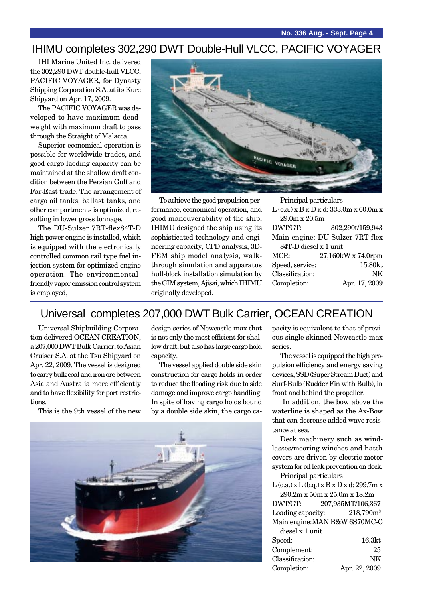# IHIMU completes 302,290 DWT Double-Hull VLCC, PACIFIC VOYAGER

IHI Marine United Inc. delivered the 302,290 DWT double-hull VLCC, PACIFIC VOYAGER, for Dynasty Shipping Corporation S.A. at its Kure Shipyard on Apr. 17, 2009.

The PACIFIC VOYAGER was developed to have maximum deadweight with maximum draft to pass through the Straight of Malacca.

Superior economical operation is possible for worldwide trades, and good cargo laoding capacity can be maintained at the shallow draft condition between the Persian Gulf and Far-East trade. The arrangement of cargo oil tanks, ballast tanks, and other compartments is optimized, resulting in lower gross tonnage.

The DU-Sulzer 7RT-flex84T-D high power engine is installed, which is equipped with the electronically controlled common rail type fuel injection system for optimized engine operation. The environmentalfriendly vapor emission control system is employed,



To achieve the good propulsion performance, economical operation, and good maneuverability of the ship, IHIMU designed the ship using its sophisticated technology and engineering capacity, CFD analysis, 3D-FEM ship model analysis, walkthrough simulation and apparatus hull-block installation simulation by the CIM system, Ajisai, which IHIMU originally developed.

Principal particulars

| $L$ (o.a.) x B x D x d: 333.0m x 60.0m x |                                 |  |
|------------------------------------------|---------------------------------|--|
| 29.0m x 20.5m                            |                                 |  |
| DWT/GT:                                  | 302,290t/159,943                |  |
|                                          | Main engine: DU-Sulzer 7RT-flex |  |
| 84T-D diesel x 1 unit                    |                                 |  |
| MCR:                                     | 27,160kW x 74.0rpm              |  |
| Speed, service:                          | 15.80kt                         |  |
| Classification:                          | NK                              |  |
| Completion:                              | Apr. 17, 2009                   |  |
|                                          |                                 |  |

### Universal completes 207,000 DWT Bulk Carrier, OCEAN CREATION

Universal Shipbuilding Corporation delivered OCEAN CREATION, a 207,000 DWT Bulk Carrier, to Asian Cruiser S.A. at the Tsu Shipyard on Apr. 22, 2009. The vessel is designed to carry bulk coal and iron ore between Asia and Australia more efficiently and to have flexibility for port restrictions.

This is the 9th vessel of the new

design series of Newcastle-max that is not only the most efficient for shallow draft, but also has large cargo hold capacity.

The vessel applied double side skin construction for cargo holds in order to reduce the flooding risk due to side damage and improve cargo handling. In spite of having cargo holds bound by a double side skin, the cargo ca-



pacity is equivalent to that of previous single skinned Newcastle-max series.

The vessel is equipped the high propulsion efficiency and energy saving devices, SSD (Super Stream Duct) and Surf-Bulb (Rudder Fin with Bulb), in front and behind the propeller.

 In addition, the bow above the waterline is shaped as the Ax-Bow that can decrease added wave resistance at sea.

Deck machinery such as windlasses/mooring winches and hatch covers are driven by electric-motor system for oil leak prevention on deck. Principal particulars

 $L$  (o.a.)  $x L$  (b.q.)  $x B x D x d$ : 299.7m  $x$ 290.2m x 50m x 25.0m x 18.2m

DWT/GT: 207,935MT/106,367 Loading capacity:  $218,790m^3$ Main engine:MAN B&W 6S70MC-C

| diesel x 1 unit |                    |
|-----------------|--------------------|
| Speed:          | 16.3 <sub>kt</sub> |
| Complement:     | 25                 |
| Classification: | NK                 |
| Completion:     | Apr. 22, 2009      |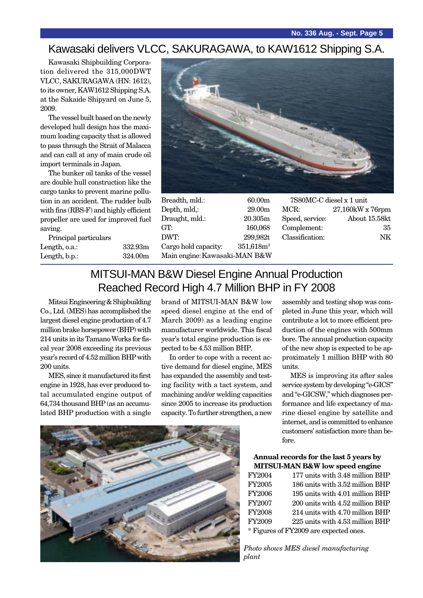### Kawasaki delivers VLCC, SAKURAGAWA, to KAW1612 Shipping S.A.

Kawasaki Shipbuilding Corporation delivered the 315,000DWT VLCC, SAKURAGAWA (HN: 1612), to its owner, KAW1612 Shipping S.A. at the Sakaide Shipyard on June 5, 2009.

The vessel built based on the newly developed hull design has the maximum loading capacity that is allowed to pass through the Strait of Malacca and can call at any of main crude oil import terminals in Japan.

The bunker oil tanks of the vessel are double hull construction like the cargo tanks to prevent marine pollution in an accident. The rudder bulb with fins (RBS-F) and highly efficient propeller are used for improved fuel saving.

Principal particulars Length, o.a.: 332.93m Length, b.p.: 324.00m



Breadth, mld.: 60.00m Depth, mld,: 29.00m Draught, mld.: 20.305m GT: 160,068 DWT: 299,982t Cargo hold capacity:  $351.618m<sup>3</sup>$ Main engine:Kawasaki-MAN B&W

| 7S80MC-C diesel x 1 unit |                  |  |
|--------------------------|------------------|--|
| MCR:                     | 27,160kW x 76rpm |  |
| Speed, service:          | About 15.58kt    |  |
| Complement:              | 35               |  |
| Classification:          | NK.              |  |
|                          |                  |  |

# MITSUI-MAN B&W Diesel Engine Annual Production Reached Record High 4.7 Million BHP in FY 2008

Mitsui Engineering & Shipbuilding Co., Ltd. (MES) has accomplished the largest diesel engine production of 4.7 million brake horsepower (BHP) with 214 units in its Tamano Works for fiscal year 2008 exceeding its previous year's record of 4.52 million BHP with 200 units.

MES, since it manufactured its first engine in 1928, has ever produced total accumulated engine output of 64,734 thousand BHP (as an accumulated BHP production with a single

brand of MITSUI-MAN B&W low speed diesel engine at the end of March 2009) as a leading engine manufacturer worldwide. This fiscal year's total engine production is expected to be 4.53 million BHP.

In order to cope with a recent active demand for diesel engine, MES has expanded the assembly and testing facility with a tact system, and machining and/or welding capacities since 2005 to increase its production capacity. To further strengthen, a new



assembly and testing shop was completed in June this year, which will contribute a lot to more efficient production of the engines with 500mm bore. The annual production capacity of the new shop is expected to be approximately 1 million BHP with 80 units.

MES is improving its after sales service system by developing "e-GICS" and "e-GICSW," which diagnoses performance and life expectancy of marine diesel engine by satellite and internet, and is committed to enhance customers' satisfaction more than before.

#### **Annual records for the last 5 years by MITSUI-MAN B&W low speed engine**

| FY2004 | 177 units with 3.48 million BHP        |
|--------|----------------------------------------|
| FY2005 | 186 units with 3.52 million BHP        |
| FY2006 | 195 units with 4.01 million BHP        |
| FY2007 | 200 units with 4.52 million BHP        |
| FY2008 | 214 units with 4.70 million BHP        |
| FY2009 | 225 units with 4.53 million BHP        |
|        | * Figures of FY2009 are expected ones. |

*Photo shows MES diesel manufacturing plant*